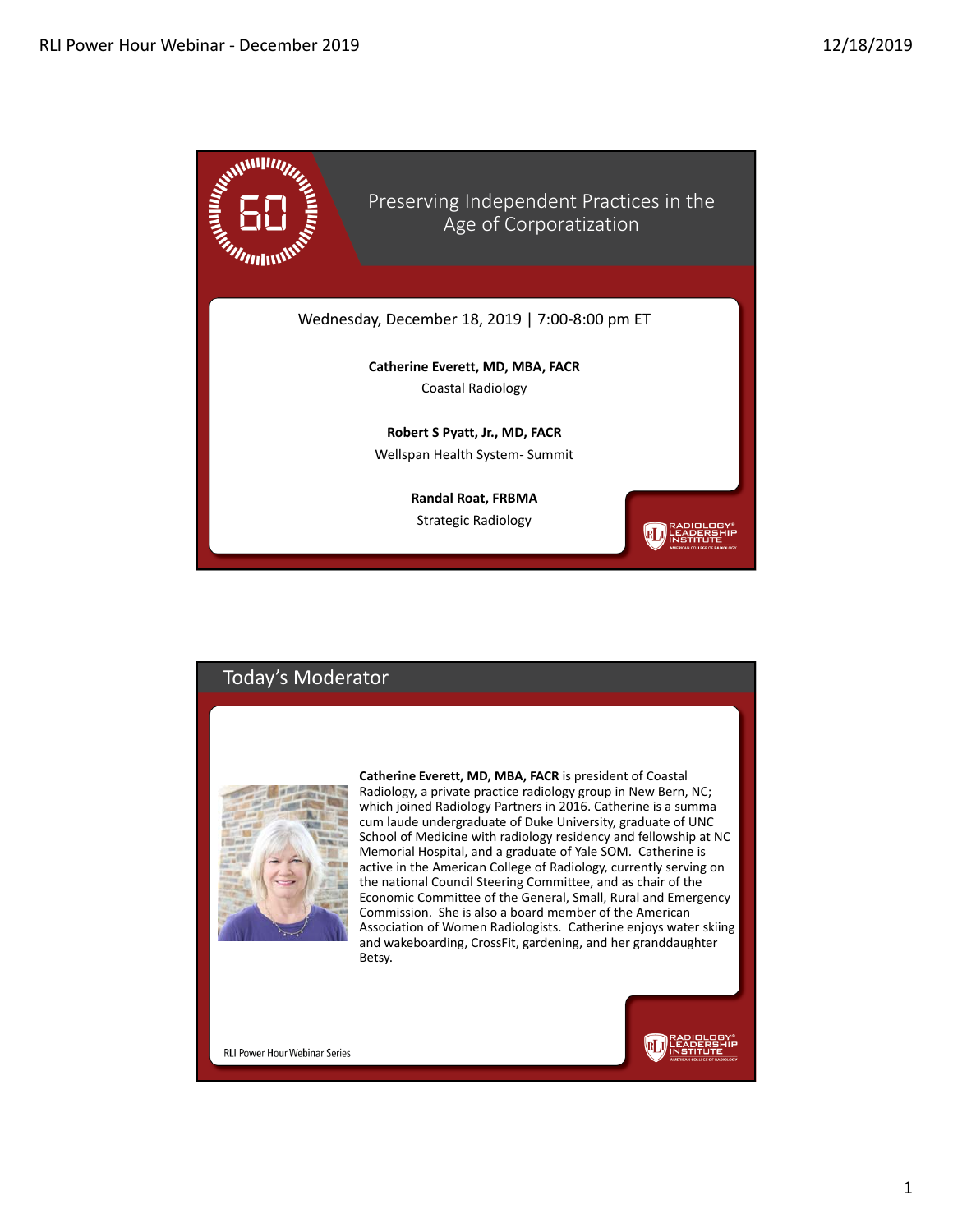

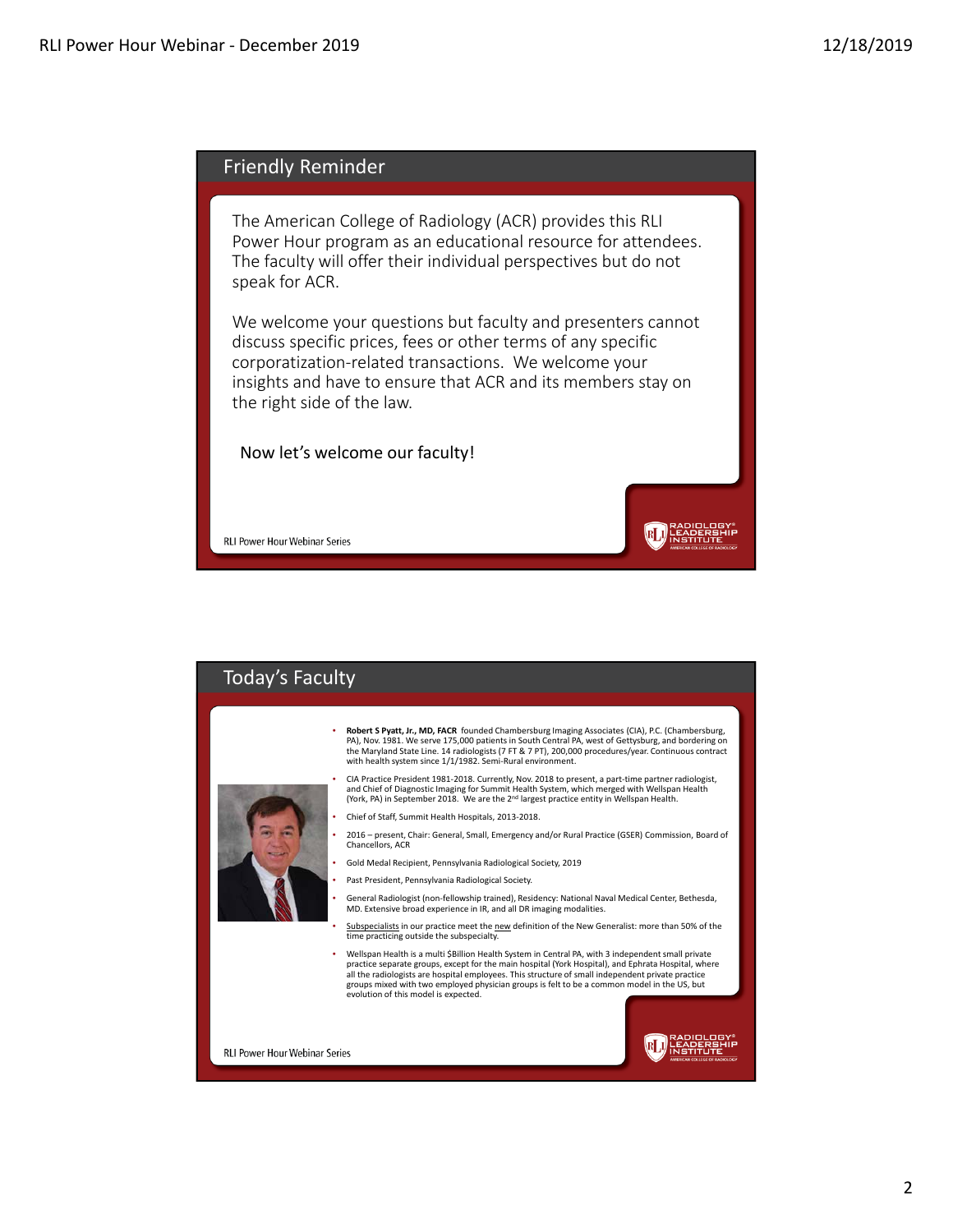

The American College of Radiology (ACR) provides this RLI Power Hour program as an educational resource for attendees. The faculty will offer their individual perspectives but do not speak for ACR.

We welcome your questions but faculty and presenters cannot discuss specific prices, fees or other terms of any specific corporatization‐related transactions. We welcome your insights and have to ensure that ACR and its members stay on the right side of the law.

**RLI) RADIOLOGY\***<br>NGC 1988 - NGC 1989<br>NGC 1989 - NGC 1989 - NGC 1989 - NGC 1989 - NGC 1989 - NGC 1989 - NGC 1989 - NGC 1989 - NGC 1989 - NGC 1989 - N

Now let's welcome our faculty!

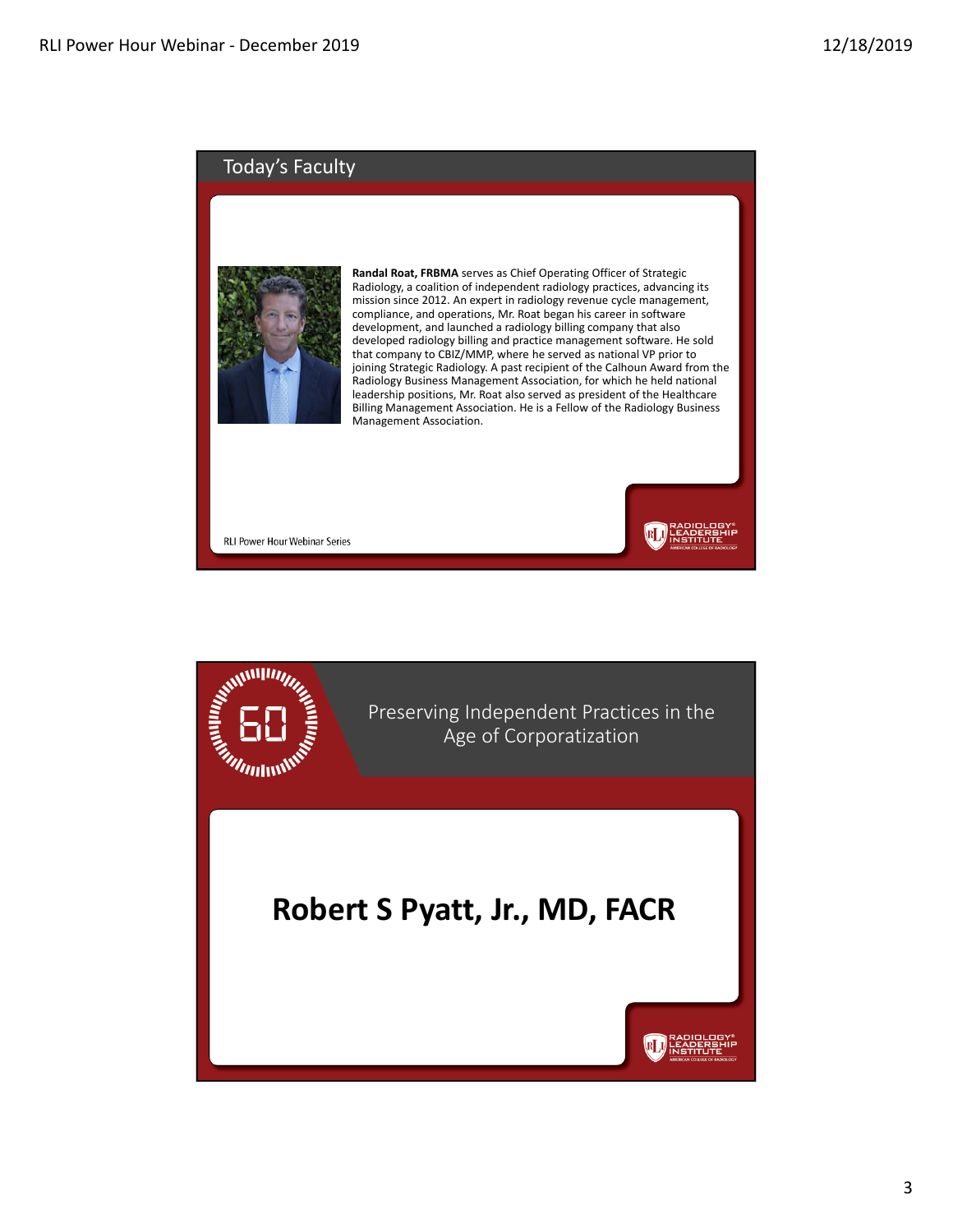#### Today's Faculty



**Randal Roat, FRBMA** serves as Chief Operating Officer of Strategic Radiology, a coalition of independent radiology practices, advancing its mission since 2012. An expert in radiology revenue cycle management, compliance, and operations, Mr. Roat began his career in software development, and launched a radiology billing company that also developed radiology billing and practice management software. He sold that company to CBIZ/MMP, where he served as national VP prior to joining Strategic Radiology. A past recipient of the Calhoun Award from the Radiology Business Management Association, for which he held national leadership positions, Mr. Roat also served as president of the Healthcare Billing Management Association. He is a Fellow of the Radiology Business Management Association.

**RLU** HEADERENIE

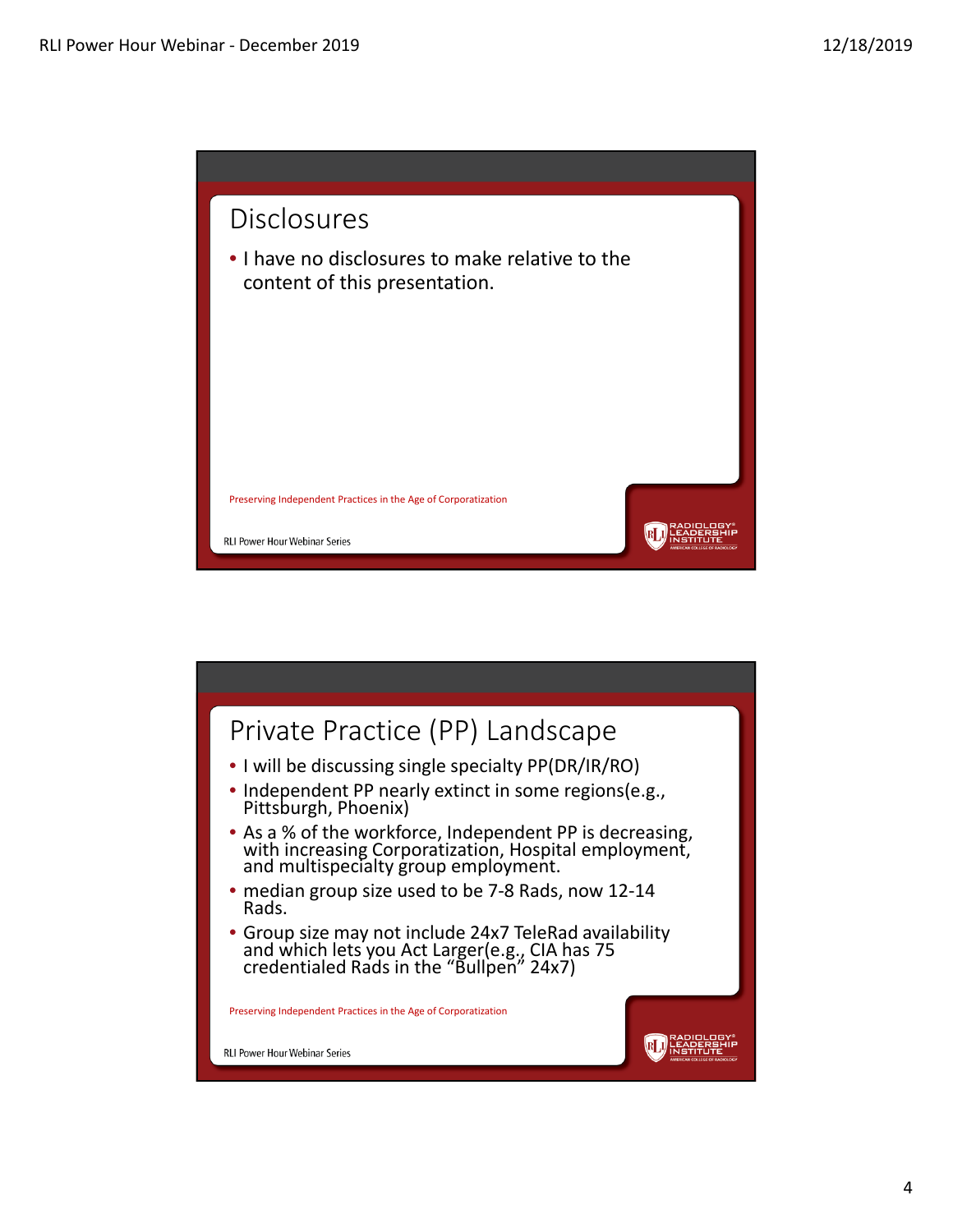

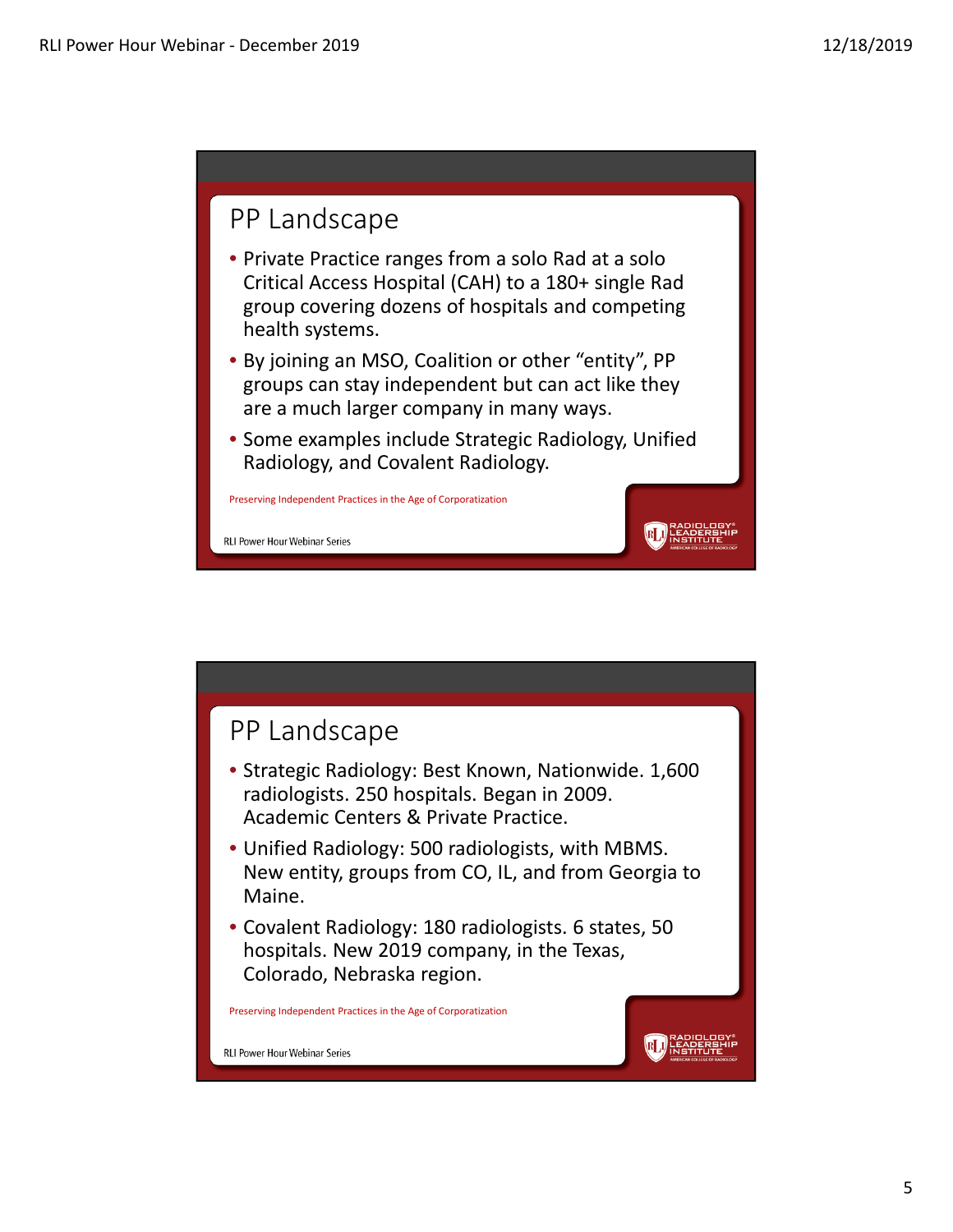#### PP Landscape

- Private Practice ranges from a solo Rad at a solo Critical Access Hospital (CAH) to a 180+ single Rad group covering dozens of hospitals and competing health systems.
- By joining an MSO, Coalition or other "entity", PP groups can stay independent but can act like they are a much larger company in many ways.
- Some examples include Strategic Radiology, Unified Radiology, and Covalent Radiology.

**RLI** LEADERSHIP

Preserving Independent Practices in the Age of Corporatization

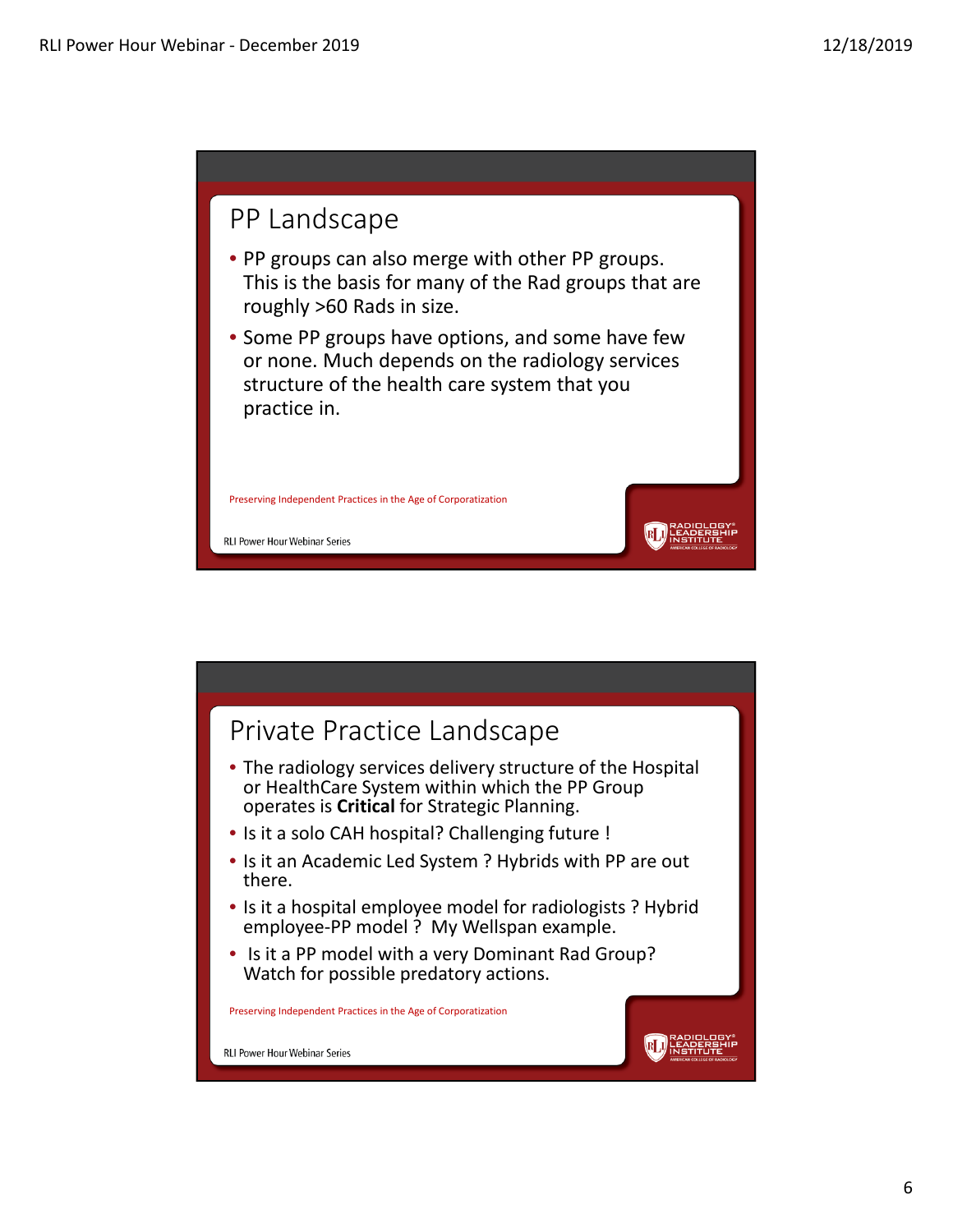

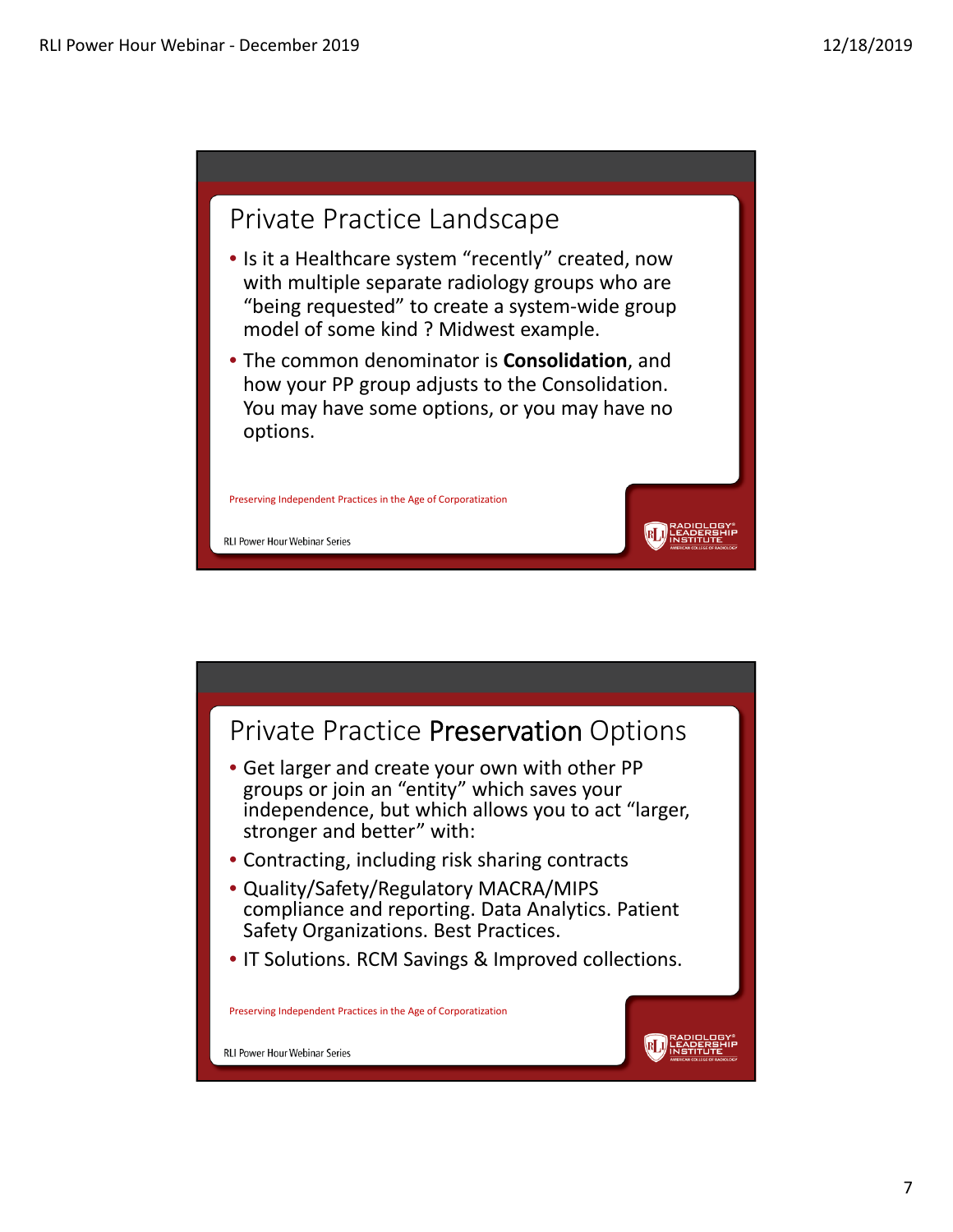

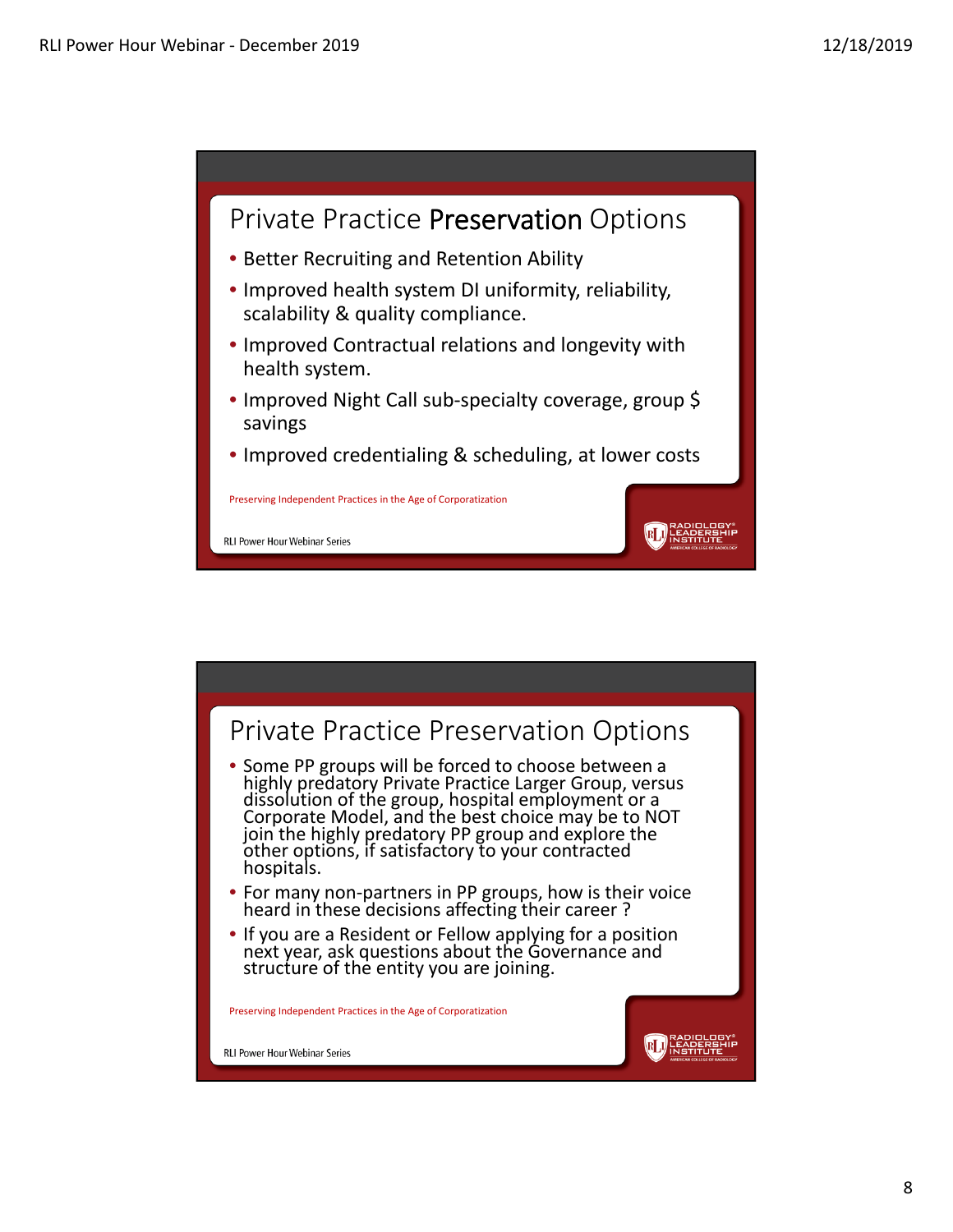

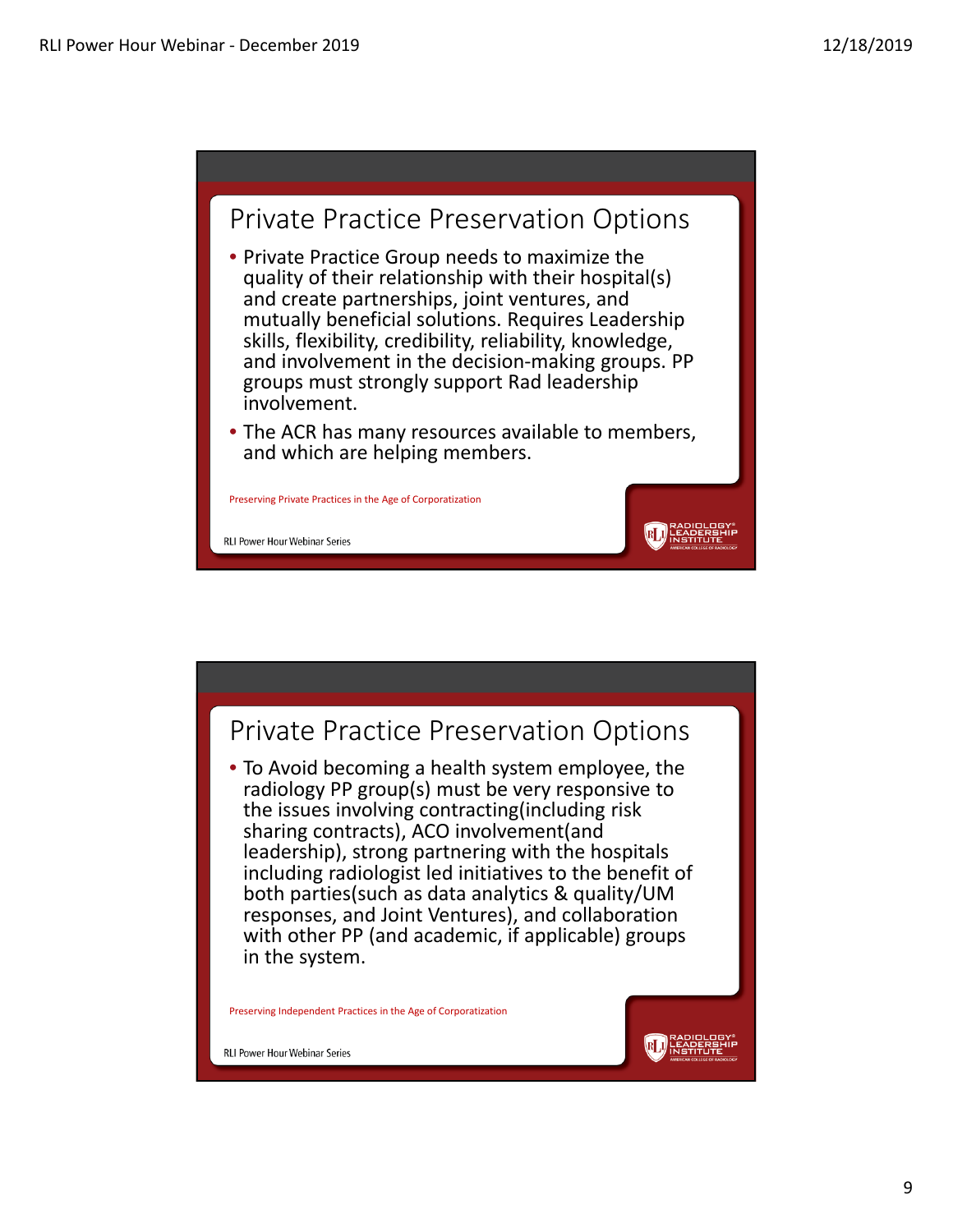



9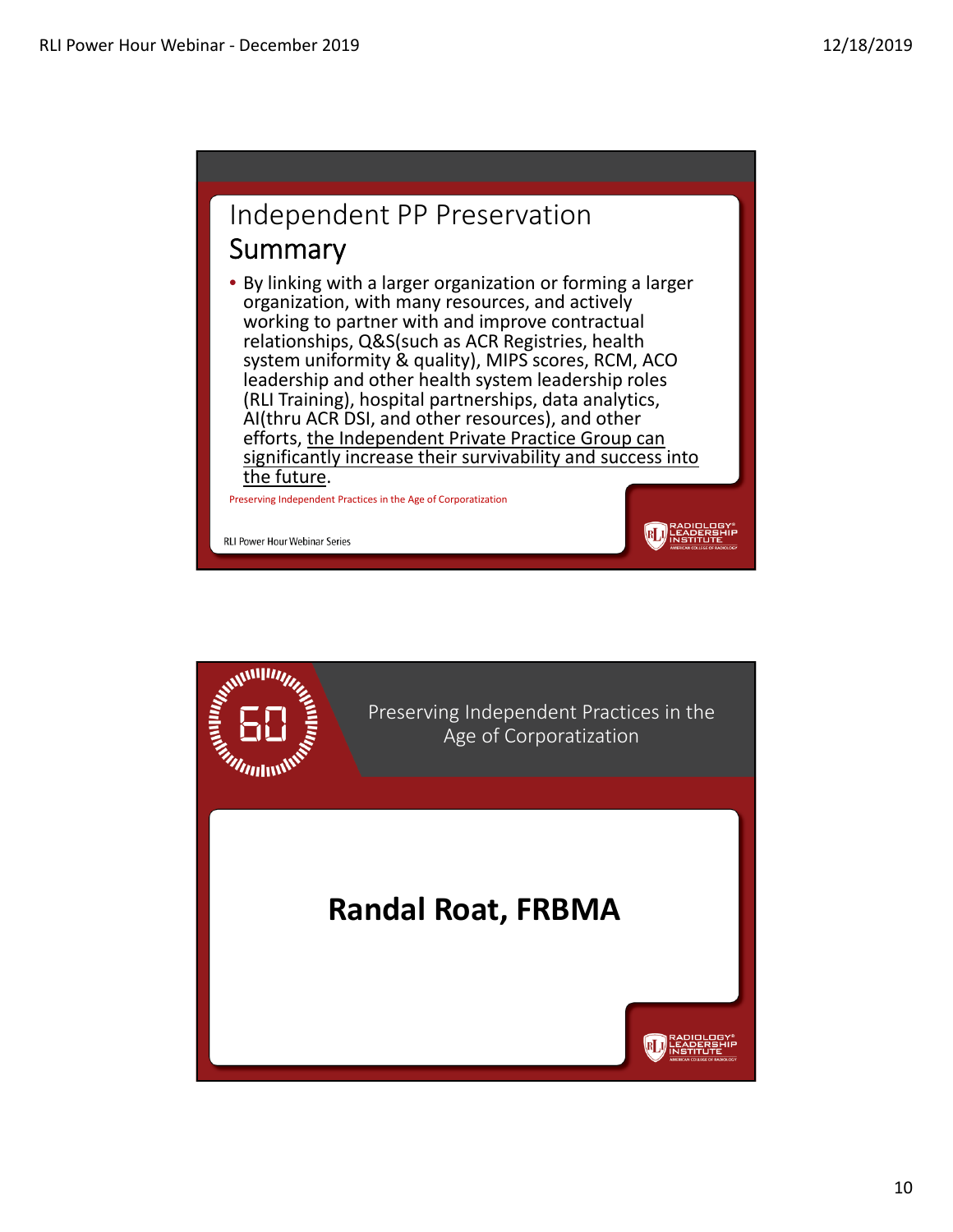### Independent PP Preservation Summary

• By linking with a larger organization or forming a larger organization, with many resources, and actively working to partner with and improve contractual relationships, Q&S(such as ACR Registries, health system uniformity & quality), MIPS scores, RCM, ACO leadership and other health system leadership roles (RLI Training), hospital partnerships, data analytics, AI(thru ACR DSI, and other resources), and other efforts, the Independent Private Practice Group can significantly increase their survivability and success into the future.

**RLI** HEAPERENIE

Preserving Independent Practices in the Age of Corporatization

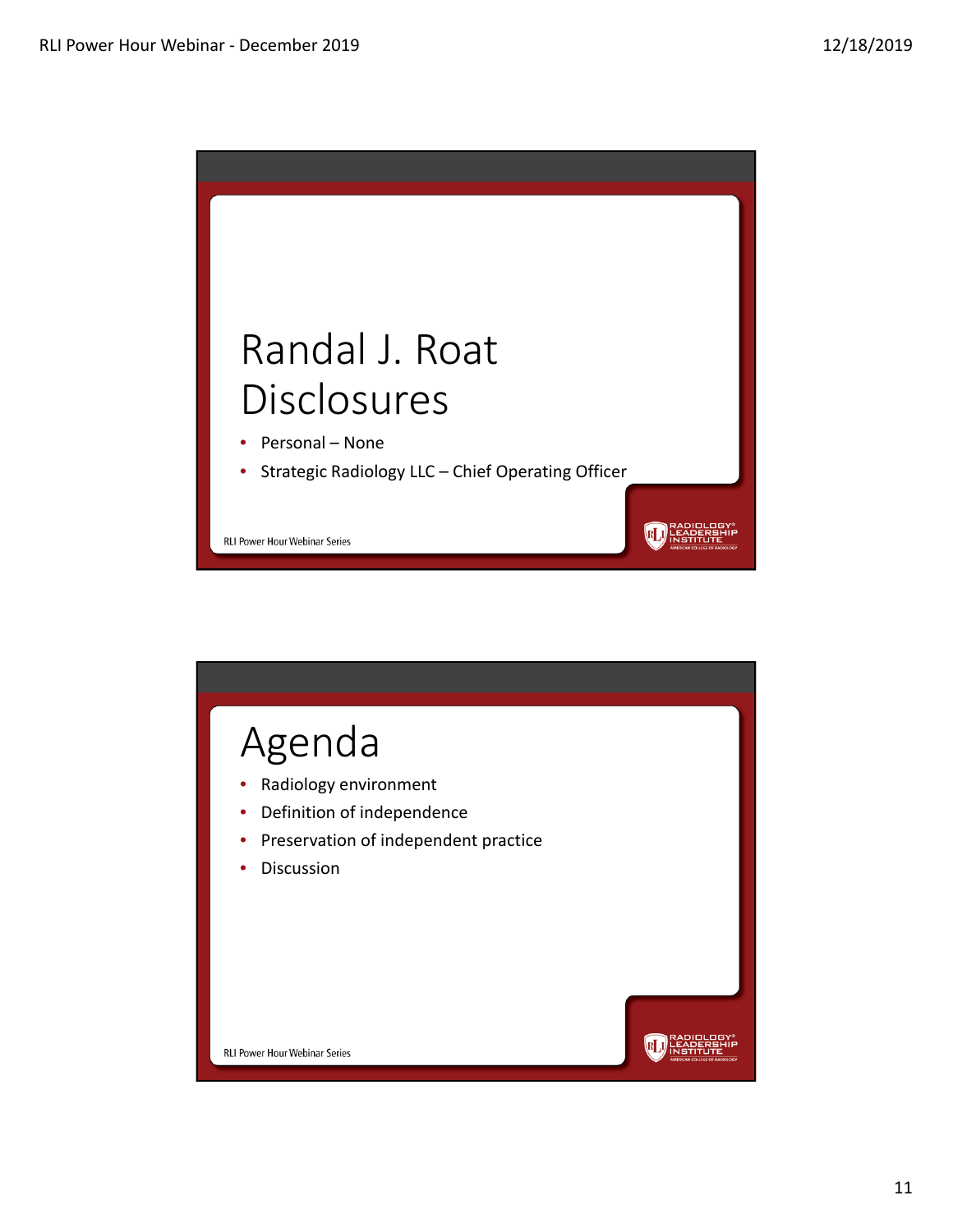

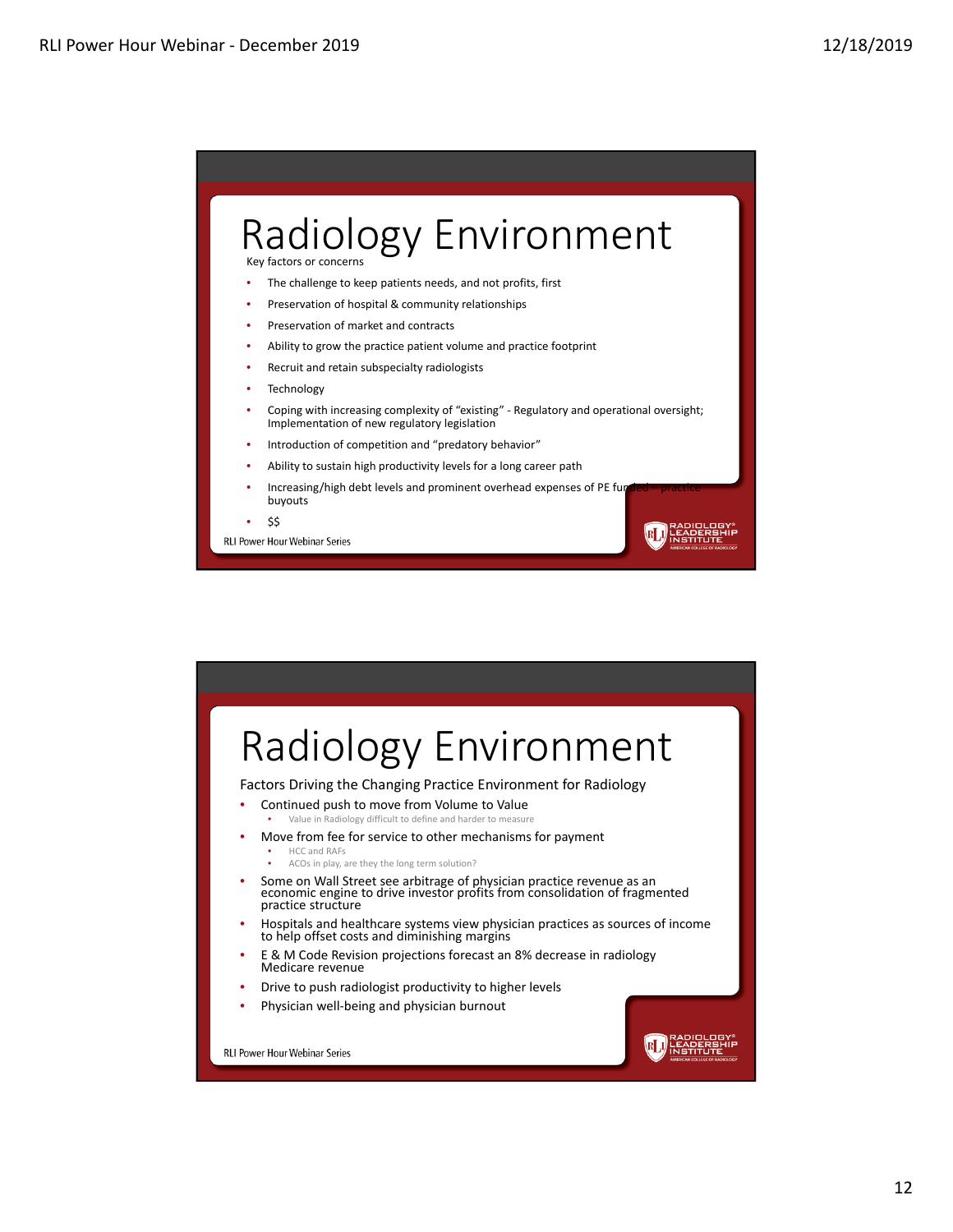

The challenge to keep patients needs, and not profits, first

- Preservation of hospital & community relationships
- Preservation of market and contracts
- Ability to grow the practice patient volume and practice footprint
- Recruit and retain subspecialty radiologists
- **Technology**
- Coping with increasing complexity of "existing" ‐ Regulatory and operational oversight; Implementation of new regulatory legislation

 $R[J]$ 

- Introduction of competition and "predatory behavior"
- Ability to sustain high productivity levels for a long career path
- Increasing/high debt levels and prominent overhead expenses of PE fund buyouts
- \$\$

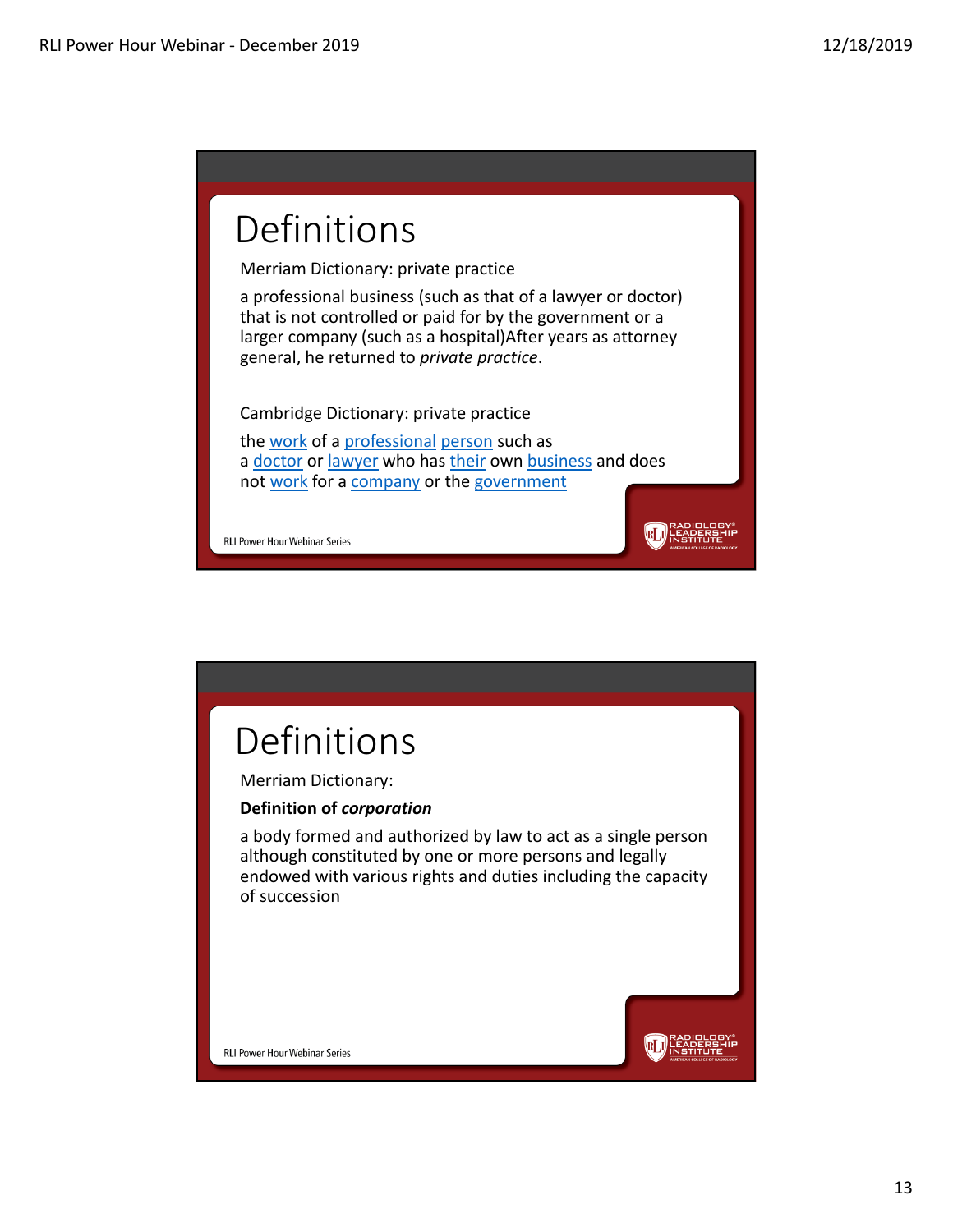# Definitions

Merriam Dictionary: private practice

a professional business (such as that of a lawyer or doctor) that is not controlled or paid for by the government or a larger company (such as a hospital)After years as attorney general, he returned to *private practice*.

Cambridge Dictionary: private practice

the work of a professional person such as a doctor or lawyer who has their own business and does not work for a company or the government

**RLJ** LEADERSHIP

**RLI** LEADERS

RLI Power Hour Webinar Series

### Definitions

Merriam Dictionary:

#### **Definition of** *corporation*

a body formed and authorized by law to act as a single person although constituted by one or more persons and legally endowed with various rights and duties including the capacity of succession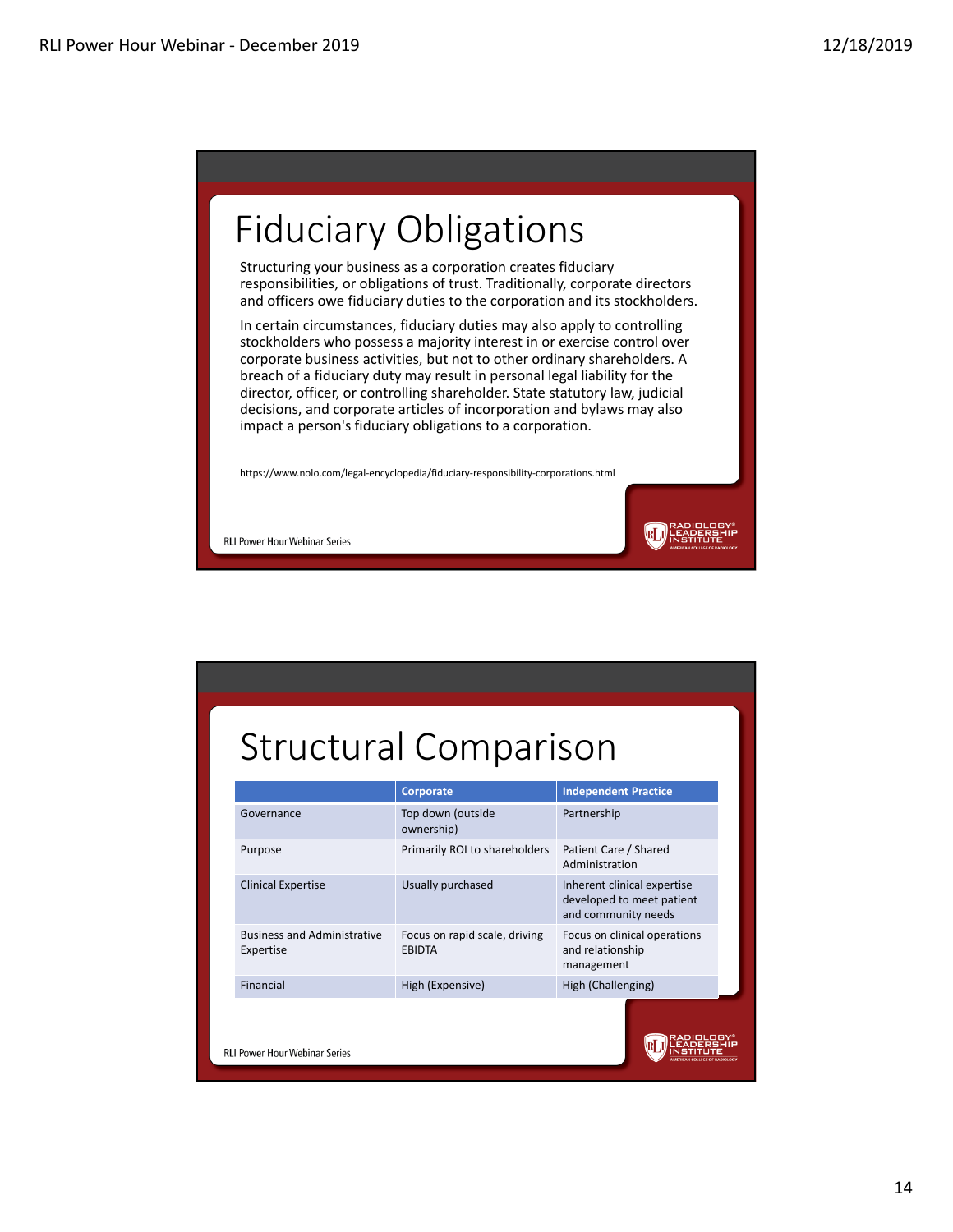# Fiduciary Obligations

Structuring your business as a corporation creates fiduciary responsibilities, or obligations of trust. Traditionally, corporate directors and officers owe fiduciary duties to the corporation and its stockholders.

In certain circumstances, fiduciary duties may also apply to controlling stockholders who possess a majority interest in or exercise control over corporate business activities, but not to other ordinary shareholders. A breach of a fiduciary duty may result in personal legal liability for the director, officer, or controlling shareholder. State statutory law, judicial decisions, and corporate articles of incorporation and bylaws may also impact a person's fiduciary obligations to a corporation.

RIJ

https://www.nolo.com/legal‐encyclopedia/fiduciary‐responsibility‐corporations.html

RLI Power Hour Webinar Series

## Structural Comparison

|                                                 | Corporate                                      | <b>Independent Practice</b>                                                     |
|-------------------------------------------------|------------------------------------------------|---------------------------------------------------------------------------------|
| Governance                                      | Top down (outside<br>ownership)                | Partnership                                                                     |
| Purpose                                         | Primarily ROI to shareholders                  | Patient Care / Shared<br>Administration                                         |
| <b>Clinical Expertise</b>                       | Usually purchased                              | Inherent clinical expertise<br>developed to meet patient<br>and community needs |
| <b>Business and Administrative</b><br>Expertise | Focus on rapid scale, driving<br><b>EBIDTA</b> | Focus on clinical operations<br>and relationship<br>management                  |
| Financial                                       | High (Expensive)                               | High (Challenging)                                                              |
| <b>RLI Power Hour Webinar Series</b>            |                                                |                                                                                 |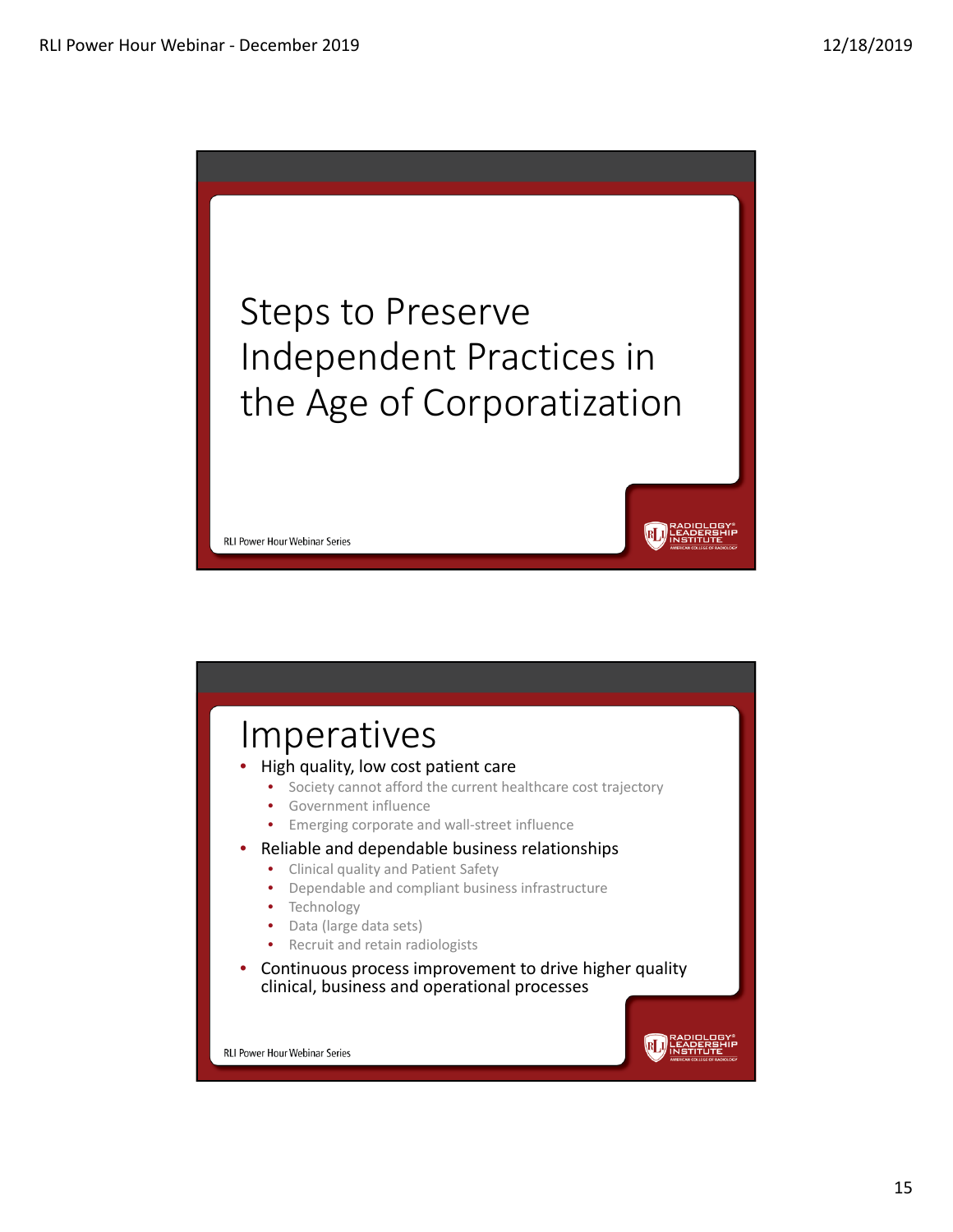

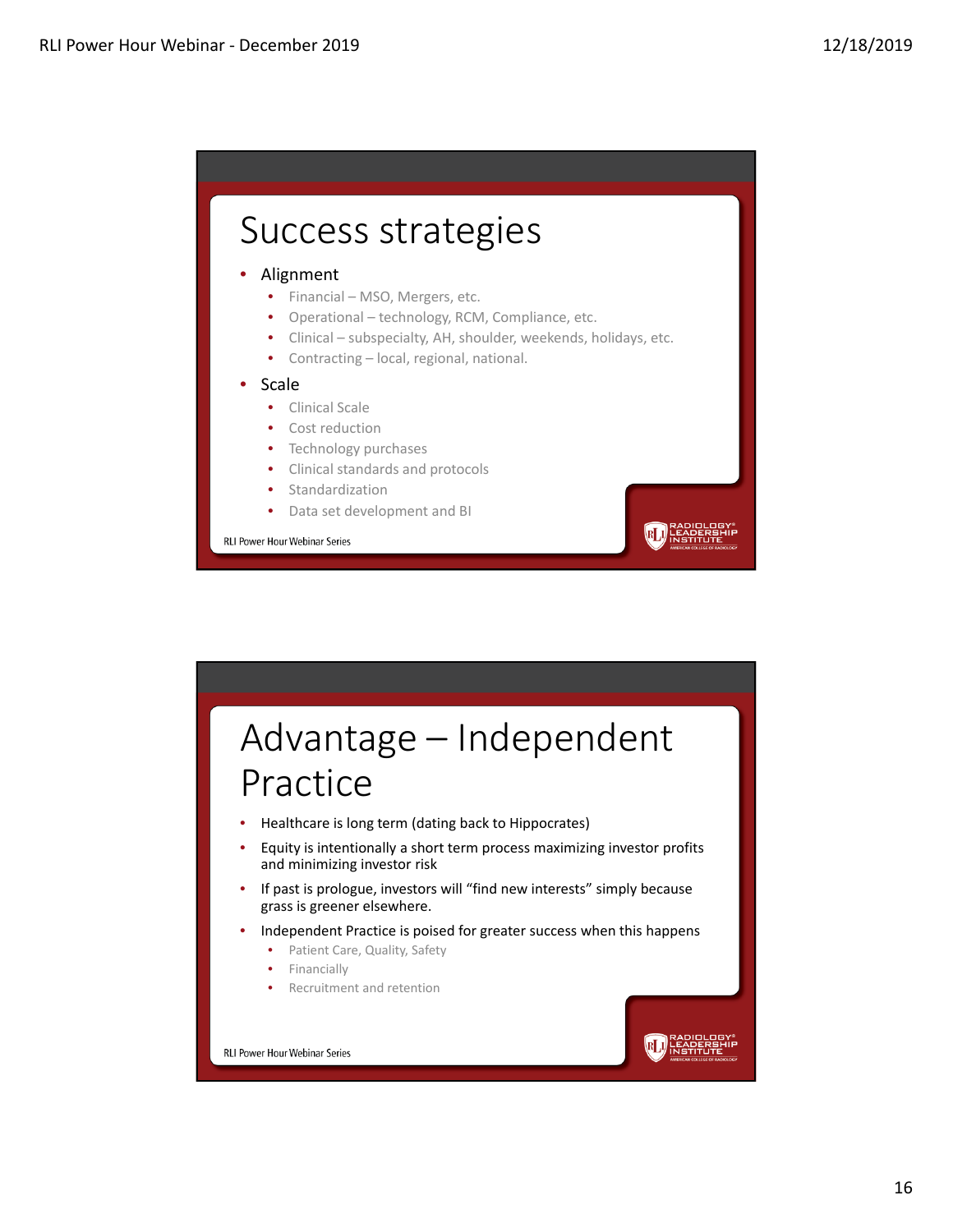### Success strategies

#### • Alignment

- Financial MSO, Mergers, etc.
- Operational technology, RCM, Compliance, etc.
- Clinical subspecialty, AH, shoulder, weekends, holidays, etc.

**BLA** LEADERE

• Contracting – local, regional, national.

#### • Scale

- Clinical Scale
- Cost reduction
- Technology purchases
- Clinical standards and protocols
- **Standardization**
- Data set development and BI

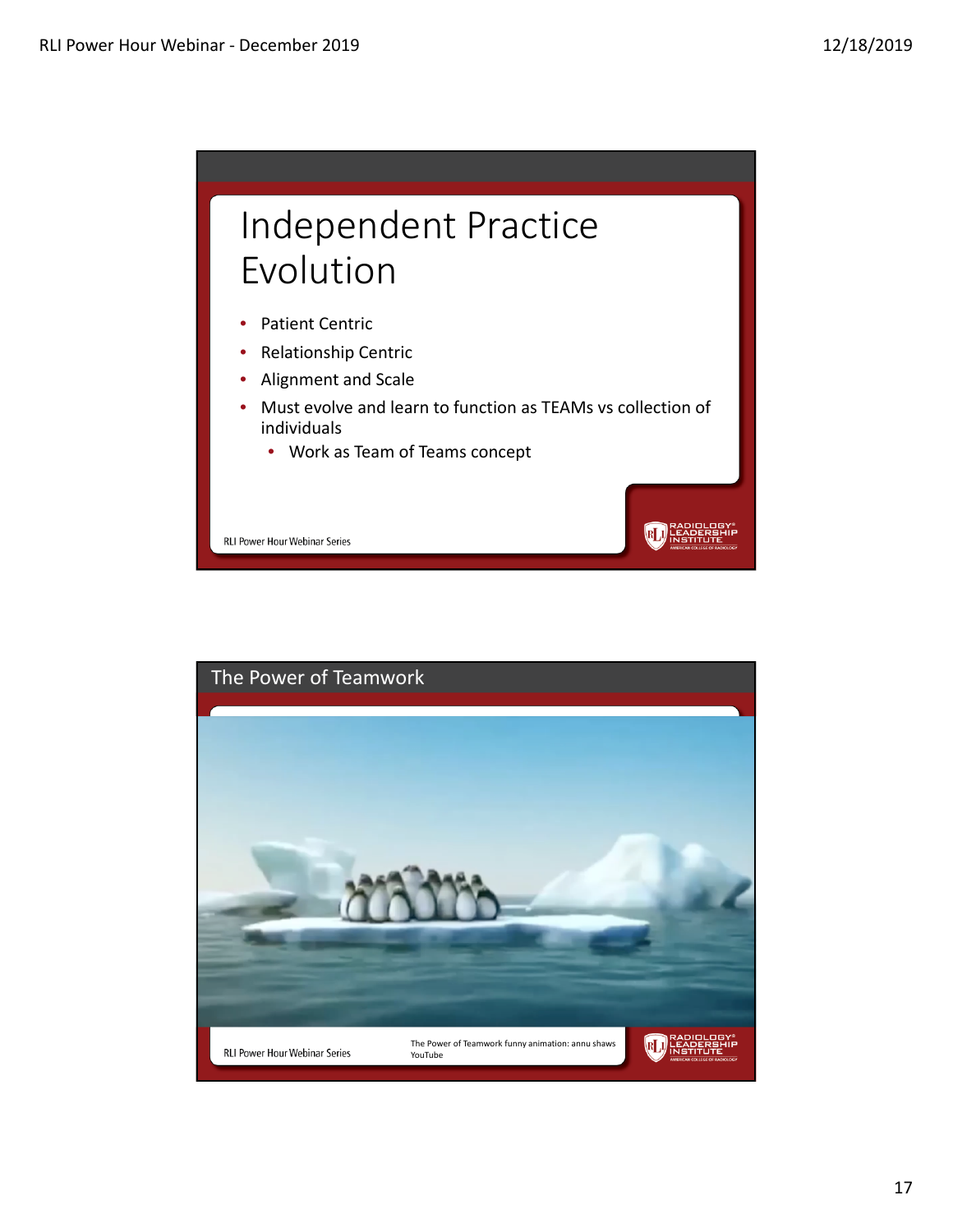

**RLI** HEAPERENIE

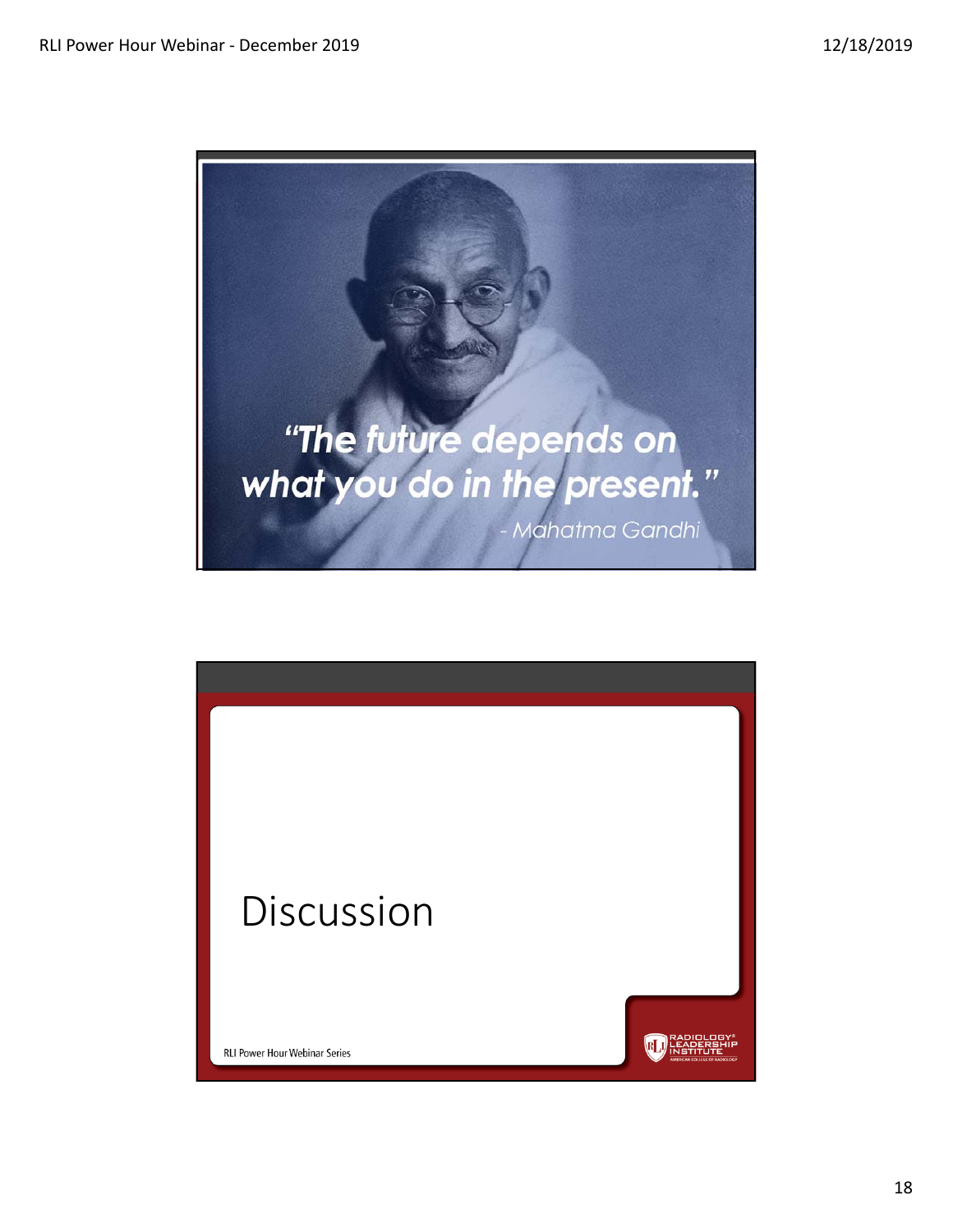